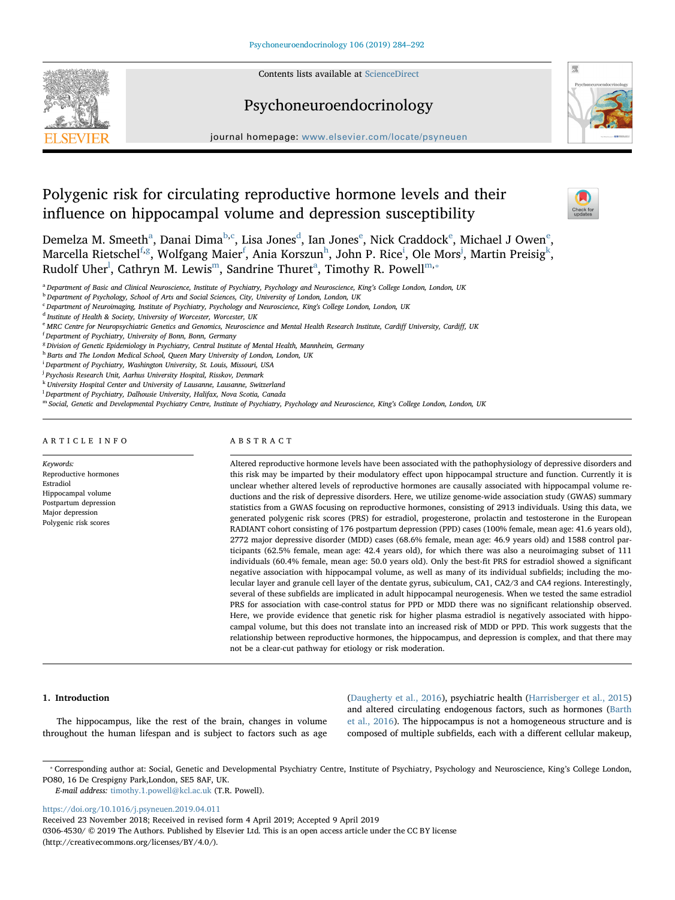

## Psychoneuroendocrinology



journal homepage: [www.elsevier.com/locate/psyneuen](https://www.elsevier.com/locate/psyneuen)

# Polygenic risk for circulating reproductive hormone levels and their influence on hippocampal volume and depression susceptibility



Demelz[a](#page-0-0) M. Sm[e](#page-0-4)eth $^{\rm a}$ , Danai Dima $^{\rm b,c}$  $^{\rm b,c}$  $^{\rm b,c}$  $^{\rm b,c}$ , Lisa Jones $^{\rm d}$  $^{\rm d}$  $^{\rm d}$ , Ian Jones $^{\rm e}$ , Nick Craddock $^{\rm e}$ , Michael J Owen $^{\rm e}$ , Marcella Rietsc[h](#page-0-7)el $^{\rm f,g}$  $^{\rm f,g}$  $^{\rm f,g}$  $^{\rm f,g}$  $^{\rm f,g}$ , Wolfgang Maier $^{\rm f}$ , Ania Korszun $^{\rm h}$ , John P. Rice $^{\rm i}$ , Ole Mors $^{\rm j}$  $^{\rm j}$  $^{\rm j}$ , Martin Pr[ei](#page-0-8)sig $^{\rm k}$  $^{\rm k}$  $^{\rm k}$ , Rudolf Uher<sup>l</sup>, Cathryn M. Lewis<sup>m</sup>, Sandrine Thuret<sup>a</sup>, Timothy R. Powell<sup>[m,](#page-0-12)\*</sup>

- <span id="page-0-0"></span>a Department of Basic and Clinical Neuroscience, Institute of Psychiatry, Psychology and Neuroscience, King's College London, London, UK
- <span id="page-0-2"></span><span id="page-0-1"></span><sup>b</sup> Department of Psychology, School of Arts and Social Sciences, City, University of London, London, UK <sup>c</sup> Department of Neuroimaging, Institute of Psychiatry, Psychology and Neuroscience, King's College London, London, UK
- <span id="page-0-3"></span><sup>d</sup> Institute of Health & Society, University of Worcester, Worcester, UK
- <span id="page-0-4"></span><sup>e</sup> MRC Centre for Neuropsychiatric Genetics and Genomics, Neuroscience and Mental Health Research Institute, Cardiff University, Cardiff, UK

- <span id="page-0-6"></span><sup>8</sup> Division of Genetic Epidemiology in Psychiatry, Central Institute of Mental Health, Mannheim, Germany
- <span id="page-0-7"></span>h Barts and The London Medical School, Queen Mary University of London, London, UK
- <span id="page-0-8"></span>i Department of Psychiatry, Washington University, St. Louis, Missouri, USA
- <span id="page-0-9"></span><sup>j</sup> Psychosis Research Unit, Aarhus University Hospital, Risskov, Denmark
- <span id="page-0-10"></span> $^{\mathrm{k}}$  University Hospital Center and University of Lausanne, Lausanne, Switzerland
- <span id="page-0-11"></span> $^{\rm l}$  Department of Psychiatry, Dalhousie University, Halifax, Nova Scotia, Canada
- <span id="page-0-12"></span>m Social, Genetic and Developmental Psychiatry Centre, Institute of Psychiatry, Psychology and Neuroscience, King's College London, London, UK

## ARTICLE INFO

Keywords: Reproductive hormones Estradiol Hippocampal volume Postpartum depression Major depression Polygenic risk scores

## ABSTRACT

Altered reproductive hormone levels have been associated with the pathophysiology of depressive disorders and this risk may be imparted by their modulatory effect upon hippocampal structure and function. Currently it is unclear whether altered levels of reproductive hormones are causally associated with hippocampal volume reductions and the risk of depressive disorders. Here, we utilize genome-wide association study (GWAS) summary statistics from a GWAS focusing on reproductive hormones, consisting of 2913 individuals. Using this data, we generated polygenic risk scores (PRS) for estradiol, progesterone, prolactin and testosterone in the European RADIANT cohort consisting of 176 postpartum depression (PPD) cases (100% female, mean age: 41.6 years old), 2772 major depressive disorder (MDD) cases (68.6% female, mean age: 46.9 years old) and 1588 control participants (62.5% female, mean age: 42.4 years old), for which there was also a neuroimaging subset of 111 individuals (60.4% female, mean age: 50.0 years old). Only the best-fit PRS for estradiol showed a significant negative association with hippocampal volume, as well as many of its individual subfields; including the molecular layer and granule cell layer of the dentate gyrus, subiculum, CA1, CA2/3 and CA4 regions. Interestingly, several of these subfields are implicated in adult hippocampal neurogenesis. When we tested the same estradiol PRS for association with case-control status for PPD or MDD there was no significant relationship observed. Here, we provide evidence that genetic risk for higher plasma estradiol is negatively associated with hippocampal volume, but this does not translate into an increased risk of MDD or PPD. This work suggests that the relationship between reproductive hormones, the hippocampus, and depression is complex, and that there may not be a clear-cut pathway for etiology or risk moderation.

#### 1. Introduction

The hippocampus, like the rest of the brain, changes in volume throughout the human lifespan and is subject to factors such as age ([Daugherty et al., 2016\)](#page-7-0), psychiatric health ([Harrisberger et al., 2015\)](#page-7-1) and altered circulating endogenous factors, such as hormones [\(Barth](#page-7-2) [et al., 2016\)](#page-7-2). The hippocampus is not a homogeneous structure and is composed of multiple subfields, each with a different cellular makeup,

<https://doi.org/10.1016/j.psyneuen.2019.04.011>

<span id="page-0-5"></span><sup>&</sup>lt;sup>f</sup> Department of Psychiatry, University of Bonn, Bonn, Germany

<span id="page-0-13"></span><sup>⁎</sup> Corresponding author at: Social, Genetic and Developmental Psychiatry Centre, Institute of Psychiatry, Psychology and Neuroscience, King's College London, PO80, 16 De Crespigny Park,London, SE5 8AF, UK.

E-mail address: [timothy.1.powell@kcl.ac.uk](mailto:timothy.1.powell@kcl.ac.uk) (T.R. Powell).

Received 23 November 2018; Received in revised form 4 April 2019; Accepted 9 April 2019

<sup>0306-4530/ © 2019</sup> The Authors. Published by Elsevier Ltd. This is an open access article under the CC BY license (http://creativecommons.org/licenses/BY/4.0/).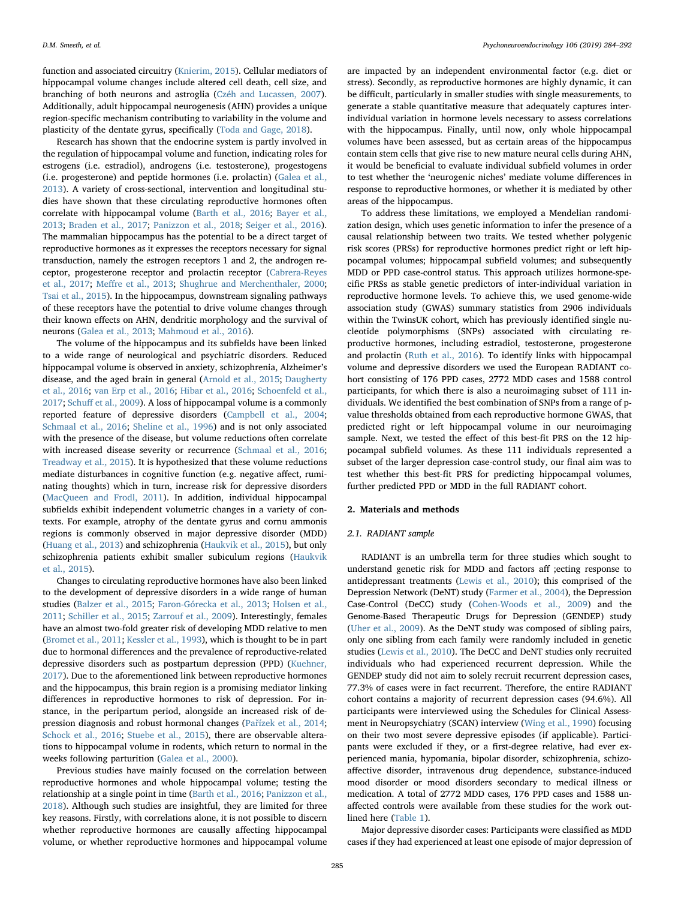function and associated circuitry [\(Knierim, 2015\)](#page-7-3). Cellular mediators of hippocampal volume changes include altered cell death, cell size, and branching of both neurons and astroglia [\(Czéh and Lucassen, 2007](#page-7-4)). Additionally, adult hippocampal neurogenesis (AHN) provides a unique region-specific mechanism contributing to variability in the volume and plasticity of the dentate gyrus, specifically [\(Toda and Gage, 2018\)](#page-8-0).

Research has shown that the endocrine system is partly involved in the regulation of hippocampal volume and function, indicating roles for estrogens (i.e. estradiol), androgens (i.e. testosterone), progestogens (i.e. progesterone) and peptide hormones (i.e. prolactin) ([Galea et al.,](#page-7-5) [2013\)](#page-7-5). A variety of cross-sectional, intervention and longitudinal studies have shown that these circulating reproductive hormones often correlate with hippocampal volume [\(Barth et al., 2016](#page-7-2); [Bayer et al.,](#page-7-6) [2013;](#page-7-6) [Braden et al., 2017](#page-7-7); [Panizzon et al., 2018;](#page-8-1) [Seiger et al., 2016](#page-8-2)). The mammalian hippocampus has the potential to be a direct target of reproductive hormones as it expresses the receptors necessary for signal transduction, namely the estrogen receptors 1 and 2, the androgen receptor, progesterone receptor and prolactin receptor [\(Cabrera-Reyes](#page-7-8) [et al., 2017](#page-7-8); Meff[re et al., 2013](#page-7-9); [Shughrue and Merchenthaler, 2000](#page-8-3); [Tsai et al., 2015](#page-8-4)). In the hippocampus, downstream signaling pathways of these receptors have the potential to drive volume changes through their known effects on AHN, dendritic morphology and the survival of neurons [\(Galea et al., 2013;](#page-7-5) [Mahmoud et al., 2016\)](#page-7-10).

The volume of the hippocampus and its subfields have been linked to a wide range of neurological and psychiatric disorders. Reduced hippocampal volume is observed in anxiety, schizophrenia, Alzheimer's disease, and the aged brain in general [\(Arnold et al., 2015;](#page-7-11) [Daugherty](#page-7-0) [et al., 2016](#page-7-0); [van Erp et al., 2016](#page-8-5); [Hibar et al., 2016](#page-7-12); [Schoenfeld et al.,](#page-8-6) [2017;](#page-8-6) Schuff [et al., 2009](#page-8-7)). A loss of hippocampal volume is a commonly reported feature of depressive disorders [\(Campbell et al., 2004](#page-7-13); [Schmaal et al., 2016](#page-8-8); [Sheline et al., 1996](#page-8-9)) and is not only associated with the presence of the disease, but volume reductions often correlate with increased disease severity or recurrence [\(Schmaal et al., 2016](#page-8-8); [Treadway et al., 2015\)](#page-8-10). It is hypothesized that these volume reductions mediate disturbances in cognitive function (e.g. negative affect, ruminating thoughts) which in turn, increase risk for depressive disorders (MacQueen [and Frodl, 2011](#page-7-14)). In addition, individual hippocampal subfields exhibit independent volumetric changes in a variety of contexts. For example, atrophy of the dentate gyrus and cornu ammonis regions is commonly observed in major depressive disorder (MDD) ([Huang et al., 2013\)](#page-7-15) and schizophrenia [\(Haukvik et al., 2015](#page-7-16)), but only schizophrenia patients exhibit smaller subiculum regions [\(Haukvik](#page-7-16) [et al., 2015](#page-7-16)).

Changes to circulating reproductive hormones have also been linked to the development of depressive disorders in a wide range of human studies ([Balzer et al., 2015](#page-7-17); [Faron-Górecka et al., 2013;](#page-7-18) [Holsen et al.,](#page-7-19) [2011;](#page-7-19) [Schiller et al., 2015](#page-8-11); [Zarrouf et al., 2009\)](#page-8-12). Interestingly, females have an almost two-fold greater risk of developing MDD relative to men ([Bromet et al., 2011;](#page-7-20) [Kessler et al., 1993](#page-7-21)), which is thought to be in part due to hormonal differences and the prevalence of reproductive-related depressive disorders such as postpartum depression (PPD) ([Kuehner,](#page-7-22) [2017\)](#page-7-22). Due to the aforementioned link between reproductive hormones and the hippocampus, this brain region is a promising mediator linking differences in reproductive hormones to risk of depression. For instance, in the peripartum period, alongside an increased risk of depression diagnosis and robust hormonal changes (Pař[ízek et al., 2014](#page-8-13); [Schock et al., 2016](#page-8-14); [Stuebe et al., 2015\)](#page-8-15), there are observable alterations to hippocampal volume in rodents, which return to normal in the weeks following parturition ([Galea et al., 2000](#page-7-23)).

Previous studies have mainly focused on the correlation between reproductive hormones and whole hippocampal volume; testing the relationship at a single point in time ([Barth et al., 2016;](#page-7-2) [Panizzon et al.,](#page-8-1) [2018\)](#page-8-1). Although such studies are insightful, they are limited for three key reasons. Firstly, with correlations alone, it is not possible to discern whether reproductive hormones are causally affecting hippocampal volume, or whether reproductive hormones and hippocampal volume are impacted by an independent environmental factor (e.g. diet or stress). Secondly, as reproductive hormones are highly dynamic, it can be difficult, particularly in smaller studies with single measurements, to generate a stable quantitative measure that adequately captures interindividual variation in hormone levels necessary to assess correlations with the hippocampus. Finally, until now, only whole hippocampal volumes have been assessed, but as certain areas of the hippocampus contain stem cells that give rise to new mature neural cells during AHN, it would be beneficial to evaluate individual subfield volumes in order to test whether the 'neurogenic niches' mediate volume differences in response to reproductive hormones, or whether it is mediated by other areas of the hippocampus.

To address these limitations, we employed a Mendelian randomization design, which uses genetic information to infer the presence of a causal relationship between two traits. We tested whether polygenic risk scores (PRSs) for reproductive hormones predict right or left hippocampal volumes; hippocampal subfield volumes; and subsequently MDD or PPD case-control status. This approach utilizes hormone-specific PRSs as stable genetic predictors of inter-individual variation in reproductive hormone levels. To achieve this, we used genome-wide association study (GWAS) summary statistics from 2906 individuals within the TwinsUK cohort, which has previously identified single nucleotide polymorphisms (SNPs) associated with circulating reproductive hormones, including estradiol, testosterone, progesterone and prolactin ([Ruth et al., 2016](#page-8-16)). To identify links with hippocampal volume and depressive disorders we used the European RADIANT cohort consisting of 176 PPD cases, 2772 MDD cases and 1588 control participants, for which there is also a neuroimaging subset of 111 individuals. We identified the best combination of SNPs from a range of pvalue thresholds obtained from each reproductive hormone GWAS, that predicted right or left hippocampal volume in our neuroimaging sample. Next, we tested the effect of this best-fit PRS on the 12 hippocampal subfield volumes. As these 111 individuals represented a subset of the larger depression case-control study, our final aim was to test whether this best-fit PRS for predicting hippocampal volumes, further predicted PPD or MDD in the full RADIANT cohort.

#### 2. Materials and methods

#### 2.1. RADIANT sample

RADIANT is an umbrella term for three studies which sought to understand genetic risk for MDD and factors aff ;ecting response to antidepressant treatments [\(Lewis et al., 2010](#page-7-24)); this comprised of the Depression Network (DeNT) study ([Farmer et al., 2004\)](#page-7-25), the Depression Case-Control (DeCC) study ([Cohen-Woods et al., 2009\)](#page-7-26) and the Genome-Based Therapeutic Drugs for Depression (GENDEP) study ([Uher et al., 2009](#page-8-17)). As the DeNT study was composed of sibling pairs, only one sibling from each family were randomly included in genetic studies [\(Lewis et al., 2010\)](#page-7-24). The DeCC and DeNT studies only recruited individuals who had experienced recurrent depression. While the GENDEP study did not aim to solely recruit recurrent depression cases, 77.3% of cases were in fact recurrent. Therefore, the entire RADIANT cohort contains a majority of recurrent depression cases (94.6%). All participants were interviewed using the Schedules for Clinical Assessment in Neuropsychiatry (SCAN) interview ([Wing et al., 1990](#page-8-18)) focusing on their two most severe depressive episodes (if applicable). Participants were excluded if they, or a first-degree relative, had ever experienced mania, hypomania, bipolar disorder, schizophrenia, schizoaffective disorder, intravenous drug dependence, substance-induced mood disorder or mood disorders secondary to medical illness or medication. A total of 2772 MDD cases, 176 PPD cases and 1588 unaffected controls were available from these studies for the work outlined here [\(Table 1\)](#page-2-0).

Major depressive disorder cases: Participants were classified as MDD cases if they had experienced at least one episode of major depression of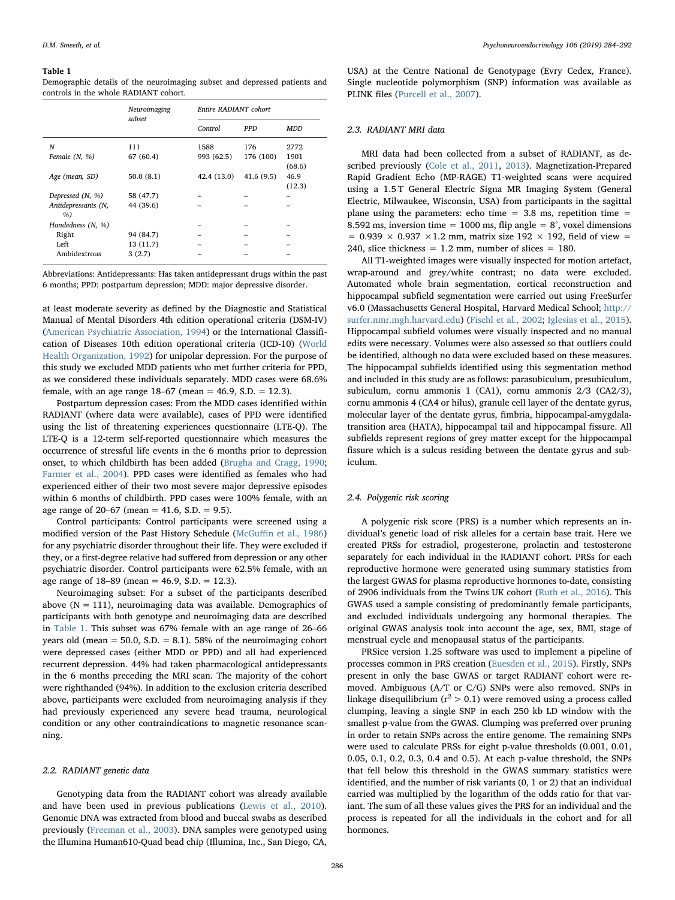#### <span id="page-2-0"></span>Table 1

Demographic details of the neuroimaging subset and depressed patients and controls in the whole RADIANT cohort.

|                     | Neuroimaging | Entire RADIANT cohort |            |            |  |
|---------------------|--------------|-----------------------|------------|------------|--|
|                     | subset       | Control               | <b>PPD</b> | <b>MDD</b> |  |
| N                   | 111          | 1588                  | 176        | 2772       |  |
| Female $(N, %)$     | 67 (60.4)    | 993 (62.5)            | 176 (100)  | 1901       |  |
|                     |              |                       |            | (68.6)     |  |
| Age (mean, SD)      | 50.0(8.1)    | 42.4 (13.0)           | 41.6(9.5)  | 46.9       |  |
|                     |              |                       |            | (12.3)     |  |
| Depressed $(N, %)$  | 58 (47.7)    |                       |            |            |  |
| Antidepressants (N, | 44 (39.6)    |                       |            |            |  |
| %                   |              |                       |            |            |  |
| Handedness (N, %)   |              |                       |            |            |  |
| Right               | 94 (84.7)    |                       |            |            |  |
| Left                | 13 (11.7)    |                       |            |            |  |
| Ambidextrous        | 3(2.7)       |                       |            |            |  |

Abbreviations: Antidepressants: Has taken antidepressant drugs within the past 6 months; PPD: postpartum depression; MDD: major depressive disorder.

at least moderate severity as defined by the Diagnostic and Statistical Manual of Mental Disorders 4th edition operational criteria (DSM-IV) ([American Psychiatric Association, 1994](#page-7-27)) or the International Classification of Diseases 10th edition operational criteria (ICD-10) ([World](#page-8-19) [Health Organization, 1992\)](#page-8-19) for unipolar depression. For the purpose of this study we excluded MDD patients who met further criteria for PPD, as we considered these individuals separately. MDD cases were 68.6% female, with an age range 18–67 (mean = 46.9, S.D. = 12.3).

Postpartum depression cases: From the MDD cases identified within RADIANT (where data were available), cases of PPD were identified using the list of threatening experiences questionnaire (LTE-Q). The LTE-Q is a 12-term self-reported questionnaire which measures the occurrence of stressful life events in the 6 months prior to depression onset, to which childbirth has been added ([Brugha and Cragg, 1990](#page-7-28); [Farmer et al., 2004\)](#page-7-25). PPD cases were identified as females who had experienced either of their two most severe major depressive episodes within 6 months of childbirth. PPD cases were 100% female, with an age range of 20–67 (mean = 41.6, S.D. = 9.5).

Control participants: Control participants were screened using a modified version of the Past History Schedule (McGuffi[n et al., 1986\)](#page-7-29) for any psychiatric disorder throughout their life. They were excluded if they, or a first-degree relative had suffered from depression or any other psychiatric disorder. Control participants were 62.5% female, with an age range of 18–89 (mean = 46.9, S.D. = 12.3).

Neuroimaging subset: For a subset of the participants described above ( $N = 111$ ), neuroimaging data was available. Demographics of participants with both genotype and neuroimaging data are described in [Table 1](#page-2-0). This subset was 67% female with an age range of 26–66 years old (mean  $= 50.0$ , S.D.  $= 8.1$ ). 58% of the neuroimaging cohort were depressed cases (either MDD or PPD) and all had experienced recurrent depression. 44% had taken pharmacological antidepressants in the 6 months preceding the MRI scan. The majority of the cohort were righthanded (94%). In addition to the exclusion criteria described above, participants were excluded from neuroimaging analysis if they had previously experienced any severe head trauma, neurological condition or any other contraindications to magnetic resonance scanning.

#### 2.2. RADIANT genetic data

Genotyping data from the RADIANT cohort was already available and have been used in previous publications ([Lewis et al., 2010](#page-7-24)). Genomic DNA was extracted from blood and buccal swabs as described previously ([Freeman et al., 2003\)](#page-7-30). DNA samples were genotyped using the Illumina Human610-Quad bead chip (Illumina, Inc., San Diego, CA,

USA) at the Centre National de Genotypage (Evry Cedex, France). Single nucleotide polymorphism (SNP) information was available as PLINK files ([Purcell et al., 2007\)](#page-8-20).

#### 2.3. RADIANT MRI data

MRI data had been collected from a subset of RADIANT, as described previously ([Cole et al., 2011](#page-7-31), [2013](#page-7-32)). Magnetization-Prepared Rapid Gradient Echo (MP-RAGE) T1-weighted scans were acquired using a 1.5 T General Electric Signa MR Imaging System (General Electric, Milwaukee, Wisconsin, USA) from participants in the sagittal plane using the parameters: echo time  $= 3.8$  ms, repetition time  $=$ 8.592 ms, inversion time = 1000 ms, flip angle =  $8^\circ$ , voxel dimensions  $= 0.939 \times 0.937 \times 1.2$  mm, matrix size 192  $\times$  192, field of view  $=$ 240, slice thickness =  $1.2$  mm, number of slices =  $180$ .

All T1-weighted images were visually inspected for motion artefact, wrap-around and grey/white contrast; no data were excluded. Automated whole brain segmentation, cortical reconstruction and hippocampal subfield segmentation were carried out using FreeSurfer v6.0 (Massachusetts General Hospital, Harvard Medical School; [http://](http://surfer.nmr.mgh.harvard.edu) [surfer.nmr.mgh.harvard.edu](http://surfer.nmr.mgh.harvard.edu)) [\(Fischl et al., 2002;](#page-7-33) [Iglesias et al., 2015](#page-7-34)). Hippocampal subfield volumes were visually inspected and no manual edits were necessary. Volumes were also assessed so that outliers could be identified, although no data were excluded based on these measures. The hippocampal subfields identified using this segmentation method and included in this study are as follows: parasubiculum, presubiculum, subiculum, cornu ammonis 1 (CA1), cornu ammonis 2/3 (CA2/3), cornu ammonis 4 (CA4 or hilus), granule cell layer of the dentate gyrus, molecular layer of the dentate gyrus, fimbria, hippocampal-amygdalatransition area (HATA), hippocampal tail and hippocampal fissure. All subfields represent regions of grey matter except for the hippocampal fissure which is a sulcus residing between the dentate gyrus and subiculum.

### 2.4. Polygenic risk scoring

A polygenic risk score (PRS) is a number which represents an individual's genetic load of risk alleles for a certain base trait. Here we created PRSs for estradiol, progesterone, prolactin and testosterone separately for each individual in the RADIANT cohort. PRSs for each reproductive hormone were generated using summary statistics from the largest GWAS for plasma reproductive hormones to-date, consisting of 2906 individuals from the Twins UK cohort [\(Ruth et al., 2016](#page-8-16)). This GWAS used a sample consisting of predominantly female participants, and excluded individuals undergoing any hormonal therapies. The original GWAS analysis took into account the age, sex, BMI, stage of menstrual cycle and menopausal status of the participants.

PRSice version 1.25 software was used to implement a pipeline of processes common in PRS creation [\(Euesden et al., 2015\)](#page-7-35). Firstly, SNPs present in only the base GWAS or target RADIANT cohort were removed. Ambiguous (A/T or C/G) SNPs were also removed. SNPs in linkage disequilibrium ( $r^2 > 0.1$ ) were removed using a process called clumping, leaving a single SNP in each 250 kb LD window with the smallest p-value from the GWAS. Clumping was preferred over pruning in order to retain SNPs across the entire genome. The remaining SNPs were used to calculate PRSs for eight p-value thresholds (0.001, 0.01, 0.05, 0.1, 0.2, 0.3, 0.4 and 0.5). At each p-value threshold, the SNPs that fell below this threshold in the GWAS summary statistics were identified, and the number of risk variants (0, 1 or 2) that an individual carried was multiplied by the logarithm of the odds ratio for that variant. The sum of all these values gives the PRS for an individual and the process is repeated for all the individuals in the cohort and for all hormones.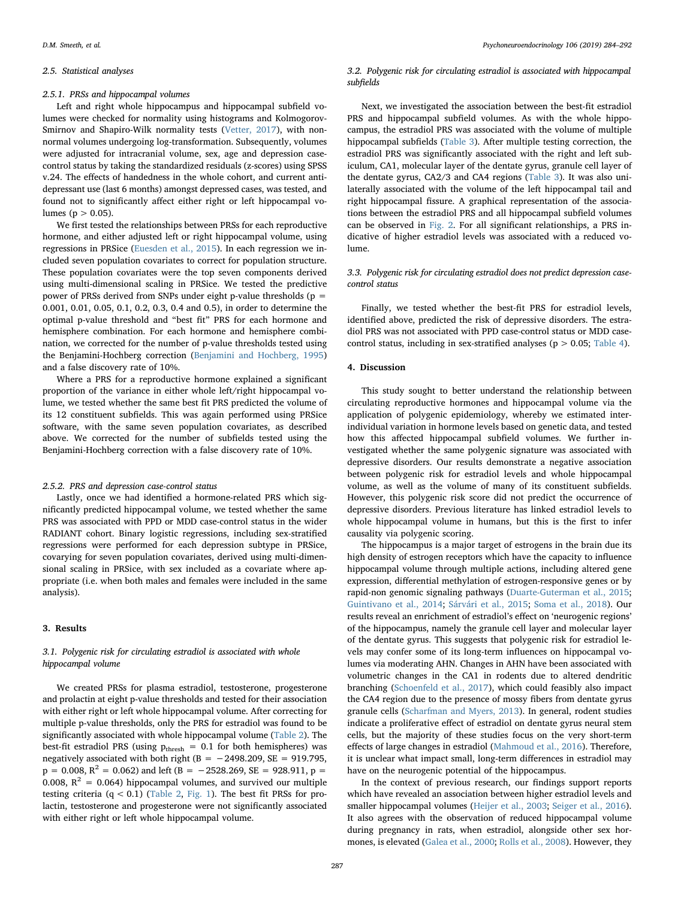#### 2.5. Statistical analyses

## 2.5.1. PRSs and hippocampal volumes

Left and right whole hippocampus and hippocampal subfield volumes were checked for normality using histograms and Kolmogorov-Smirnov and Shapiro-Wilk normality tests [\(Vetter, 2017](#page-8-21)), with nonnormal volumes undergoing log-transformation. Subsequently, volumes were adjusted for intracranial volume, sex, age and depression casecontrol status by taking the standardized residuals (z-scores) using SPSS v.24. The effects of handedness in the whole cohort, and current antidepressant use (last 6 months) amongst depressed cases, was tested, and found not to significantly affect either right or left hippocampal volumes ( $p > 0.05$ ).

We first tested the relationships between PRSs for each reproductive hormone, and either adjusted left or right hippocampal volume, using regressions in PRSice ([Euesden et al., 2015](#page-7-35)). In each regression we included seven population covariates to correct for population structure. These population covariates were the top seven components derived using multi-dimensional scaling in PRSice. We tested the predictive power of PRSs derived from SNPs under eight p-value thresholds ( $p =$ 0.001, 0.01, 0.05, 0.1, 0.2, 0.3, 0.4 and 0.5), in order to determine the optimal p-value threshold and "best fit" PRS for each hormone and hemisphere combination. For each hormone and hemisphere combination, we corrected for the number of p-value thresholds tested using the Benjamini-Hochberg correction [\(Benjamini and Hochberg, 1995\)](#page-7-36) and a false discovery rate of 10%.

Where a PRS for a reproductive hormone explained a significant proportion of the variance in either whole left/right hippocampal volume, we tested whether the same best fit PRS predicted the volume of its 12 constituent subfields. This was again performed using PRSice software, with the same seven population covariates, as described above. We corrected for the number of subfields tested using the Benjamini-Hochberg correction with a false discovery rate of 10%.

#### 2.5.2. PRS and depression case-control status

Lastly, once we had identified a hormone-related PRS which significantly predicted hippocampal volume, we tested whether the same PRS was associated with PPD or MDD case-control status in the wider RADIANT cohort. Binary logistic regressions, including sex-stratified regressions were performed for each depression subtype in PRSice, covarying for seven population covariates, derived using multi-dimensional scaling in PRSice, with sex included as a covariate where appropriate (i.e. when both males and females were included in the same analysis).

#### 3. Results

## 3.1. Polygenic risk for circulating estradiol is associated with whole hippocampal volume

We created PRSs for plasma estradiol, testosterone, progesterone and prolactin at eight p-value thresholds and tested for their association with either right or left whole hippocampal volume. After correcting for multiple p-value thresholds, only the PRS for estradiol was found to be significantly associated with whole hippocampal volume ([Table 2](#page-4-0)). The best-fit estradiol PRS (using  $p_{\text{thresh}} = 0.1$  for both hemispheres) was negatively associated with both right (B =  $-2498.209$ , SE = 919.795,  $p = 0.008$ ,  $R^2 = 0.062$ ) and left (B = -2528.269, SE = 928.911, p = 0.008,  $R^2 = 0.064$ ) hippocampal volumes, and survived our multiple testing criteria  $(q < 0.1)$  [\(Table 2,](#page-4-0) [Fig. 1](#page-4-1)). The best fit PRSs for prolactin, testosterone and progesterone were not significantly associated with either right or left whole hippocampal volume.

#### 3.2. Polygenic risk for circulating estradiol is associated with hippocampal subfields

Next, we investigated the association between the best-fit estradiol PRS and hippocampal subfield volumes. As with the whole hippocampus, the estradiol PRS was associated with the volume of multiple hippocampal subfields ([Table 3\)](#page-5-0). After multiple testing correction, the estradiol PRS was significantly associated with the right and left subiculum, CA1, molecular layer of the dentate gyrus, granule cell layer of the dentate gyrus, CA2/3 and CA4 regions ([Table 3\)](#page-5-0). It was also unilaterally associated with the volume of the left hippocampal tail and right hippocampal fissure. A graphical representation of the associations between the estradiol PRS and all hippocampal subfield volumes can be observed in [Fig. 2.](#page-5-1) For all significant relationships, a PRS indicative of higher estradiol levels was associated with a reduced volume.

## 3.3. Polygenic risk for circulating estradiol does not predict depression casecontrol status

Finally, we tested whether the best-fit PRS for estradiol levels, identified above, predicted the risk of depressive disorders. The estradiol PRS was not associated with PPD case-control status or MDD casecontrol status, including in sex-stratified analyses ( $p > 0.05$ ; [Table 4\)](#page-5-2).

#### 4. Discussion

This study sought to better understand the relationship between circulating reproductive hormones and hippocampal volume via the application of polygenic epidemiology, whereby we estimated interindividual variation in hormone levels based on genetic data, and tested how this affected hippocampal subfield volumes. We further investigated whether the same polygenic signature was associated with depressive disorders. Our results demonstrate a negative association between polygenic risk for estradiol levels and whole hippocampal volume, as well as the volume of many of its constituent subfields. However, this polygenic risk score did not predict the occurrence of depressive disorders. Previous literature has linked estradiol levels to whole hippocampal volume in humans, but this is the first to infer causality via polygenic scoring.

The hippocampus is a major target of estrogens in the brain due its high density of estrogen receptors which have the capacity to influence hippocampal volume through multiple actions, including altered gene expression, differential methylation of estrogen-responsive genes or by rapid-non genomic signaling pathways [\(Duarte-Guterman et al., 2015](#page-7-37); [Guintivano et al., 2014;](#page-7-38) [Sárvári et al., 2015](#page-8-22); [Soma et al., 2018\)](#page-8-23). Our results reveal an enrichment of estradiol's effect on 'neurogenic regions' of the hippocampus, namely the granule cell layer and molecular layer of the dentate gyrus. This suggests that polygenic risk for estradiol levels may confer some of its long-term influences on hippocampal volumes via moderating AHN. Changes in AHN have been associated with volumetric changes in the CA1 in rodents due to altered dendritic branching [\(Schoenfeld et al., 2017](#page-8-6)), which could feasibly also impact the CA4 region due to the presence of mossy fibers from dentate gyrus granule cells [\(Scharfman and Myers, 2013](#page-8-24)). In general, rodent studies indicate a proliferative effect of estradiol on dentate gyrus neural stem cells, but the majority of these studies focus on the very short-term effects of large changes in estradiol ([Mahmoud et al., 2016\)](#page-7-10). Therefore, it is unclear what impact small, long-term differences in estradiol may have on the neurogenic potential of the hippocampus.

In the context of previous research, our findings support reports which have revealed an association between higher estradiol levels and smaller hippocampal volumes [\(Heijer et al., 2003;](#page-7-39) [Seiger et al., 2016](#page-8-2)). It also agrees with the observation of reduced hippocampal volume during pregnancy in rats, when estradiol, alongside other sex hormones, is elevated [\(Galea et al., 2000;](#page-7-23) [Rolls et al., 2008](#page-8-25)). However, they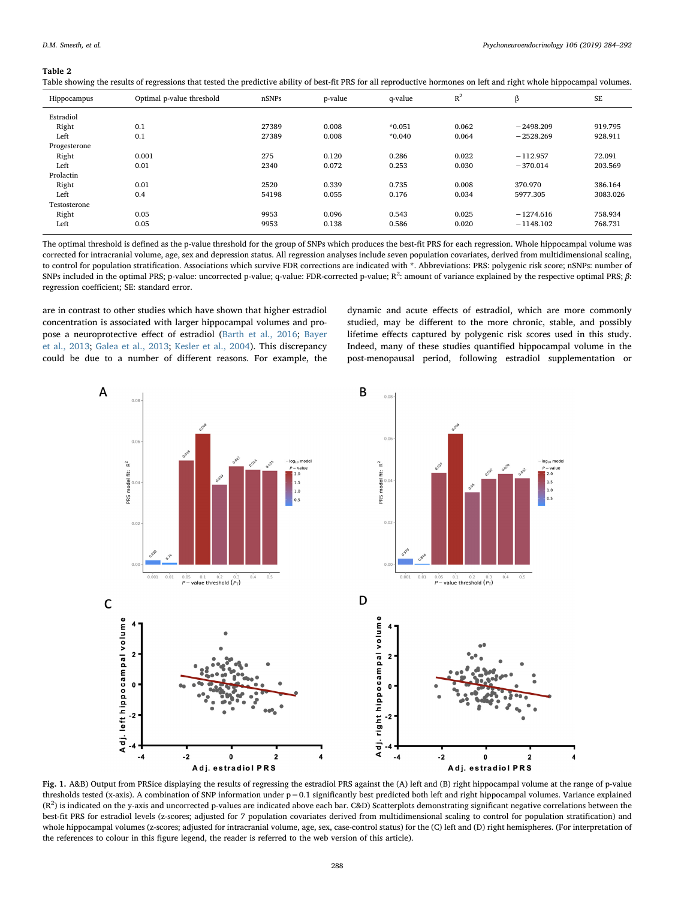#### <span id="page-4-0"></span>Table 2

Table showing the results of regressions that tested the predictive ability of best-fit PRS for all reproductive hormones on left and right whole hippocampal volumes.

| Hippocampus  | Optimal p-value threshold | nSNPs | p-value | q-value  | $R^2$ | β           | SE       |
|--------------|---------------------------|-------|---------|----------|-------|-------------|----------|
| Estradiol    |                           |       |         |          |       |             |          |
| Right        | 0.1                       | 27389 | 0.008   | $*0.051$ | 0.062 | $-2498.209$ | 919.795  |
| Left         | 0.1                       | 27389 | 0.008   | $*0.040$ | 0.064 | $-2528.269$ | 928.911  |
| Progesterone |                           |       |         |          |       |             |          |
| Right        | 0.001                     | 275   | 0.120   | 0.286    | 0.022 | $-112.957$  | 72.091   |
| Left         | 0.01                      | 2340  | 0.072   | 0.253    | 0.030 | $-370.014$  | 203.569  |
| Prolactin    |                           |       |         |          |       |             |          |
| Right        | 0.01                      | 2520  | 0.339   | 0.735    | 0.008 | 370.970     | 386.164  |
| Left         | 0.4                       | 54198 | 0.055   | 0.176    | 0.034 | 5977.305    | 3083.026 |
| Testosterone |                           |       |         |          |       |             |          |
| Right        | 0.05                      | 9953  | 0.096   | 0.543    | 0.025 | $-1274.616$ | 758.934  |
| Left         | 0.05                      | 9953  | 0.138   | 0.586    | 0.020 | $-1148.102$ | 768.731  |

The optimal threshold is defined as the p-value threshold for the group of SNPs which produces the best-fit PRS for each regression. Whole hippocampal volume was corrected for intracranial volume, age, sex and depression status. All regression analyses include seven population covariates, derived from multidimensional scaling, to control for population stratification. Associations which survive FDR corrections are indicated with \*. Abbreviations: PRS: polygenic risk score; nSNPs: number of SNPs included in the optimal PRS; p-value: uncorrected p-value; q-value: FDR-corrected p-value; R<sup>2</sup>: amount of variance explained by the respective optimal PRS;  $\beta$ : regression coefficient; SE: standard error.

are in contrast to other studies which have shown that higher estradiol concentration is associated with larger hippocampal volumes and propose a neuroprotective effect of estradiol [\(Barth et al., 2016](#page-7-2); [Bayer](#page-7-6) [et al., 2013](#page-7-6); [Galea et al., 2013](#page-7-5); [Kesler et al., 2004\)](#page-7-40). This discrepancy could be due to a number of different reasons. For example, the dynamic and acute effects of estradiol, which are more commonly studied, may be different to the more chronic, stable, and possibly lifetime effects captured by polygenic risk scores used in this study. Indeed, many of these studies quantified hippocampal volume in the post-menopausal period, following estradiol supplementation or

<span id="page-4-1"></span>

Fig. 1. A&B) Output from PRSice displaying the results of regressing the estradiol PRS against the (A) left and (B) right hippocampal volume at the range of p-value thresholds tested (x-axis). A combination of SNP information under p=0.1 significantly best predicted both left and right hippocampal volumes. Variance explained  $(R^2)$  is indicated on the y-axis and uncorrected p-values are indicated above each bar. C&D) Scatterplots demonstrating significant negative correlations between the best-fit PRS for estradiol levels (z-scores; adjusted for 7 population covariates derived from multidimensional scaling to control for population stratification) and whole hippocampal volumes (z-scores; adjusted for intracranial volume, age, sex, case-control status) for the (C) left and (D) right hemispheres. (For interpretation of the references to colour in this figure legend, the reader is referred to the web version of this article).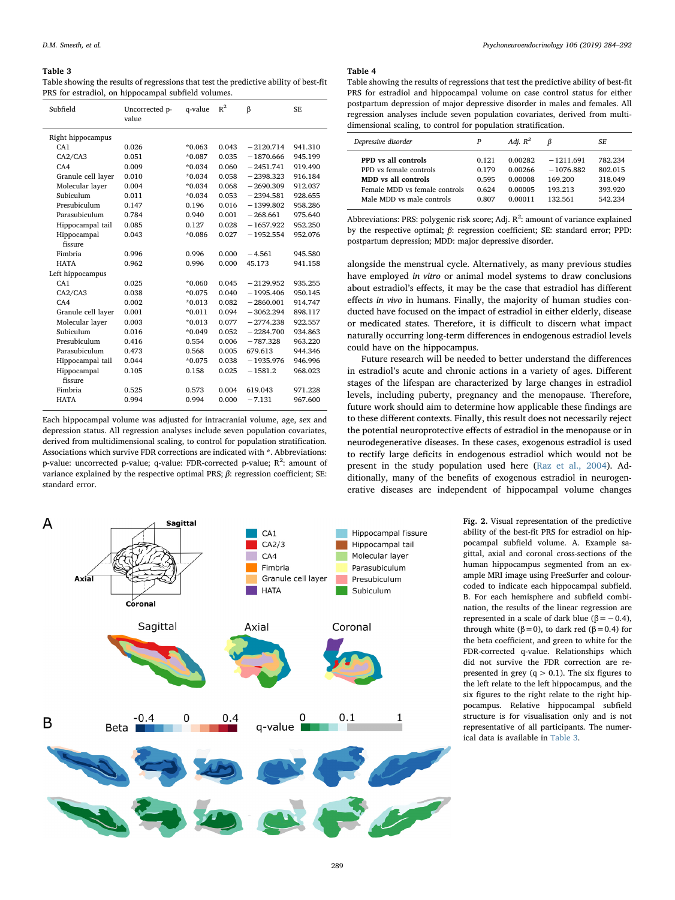#### <span id="page-5-0"></span>Table 3

Table showing the results of regressions that test the predictive ability of best-fit PRS for estradiol, on hippocampal subfield volumes.

| Subfield           | Uncorrected p-<br>value | q-value  | $\mathbb{R}^2$ | $\beta$     | SE.     |
|--------------------|-------------------------|----------|----------------|-------------|---------|
| Right hippocampus  |                         |          |                |             |         |
| CA1                | 0.026                   | $*0.063$ | 0.043          | $-2120.714$ | 941.310 |
| CA2/CA3            | 0.051                   | $*0.087$ | 0.035          | $-1870.666$ | 945.199 |
| CAA                | 0.009                   | $*0.034$ | 0.060          | $-2451.741$ | 919.490 |
| Granule cell layer | 0.010                   | $*0.034$ | 0.058          | $-2398.323$ | 916.184 |
| Molecular layer    | 0.004                   | $*0.034$ | 0.068          | $-2690.309$ | 912.037 |
| Subiculum          | 0.011                   | $*0.034$ | 0.053          | $-2394.581$ | 928.655 |
| Presubiculum       | 0.147                   | 0.196    | 0.016          | $-1399.802$ | 958.286 |
| Parasubiculum      | 0.784                   | 0.940    | 0.001          | $-268.661$  | 975.640 |
| Hippocampal tail   | 0.085                   | 0.127    | 0.028          | $-1657.922$ | 952.250 |
| Hippocampal        | 0.043                   | $*0.086$ | 0.027          | $-1952.554$ | 952.076 |
| fissure            |                         |          |                |             |         |
| Fimbria            | 0.996                   | 0.996    | 0.000          | $-4.561$    | 945.580 |
| <b>HATA</b>        | 0.962                   | 0.996    | 0.000          | 45.173      | 941.158 |
| Left hippocampus   |                         |          |                |             |         |
| CA1                | 0.025                   | $*0.060$ | 0.045          | $-2129.952$ | 935.255 |
| CA2/CA3            | 0.038                   | $*0.075$ | 0.040          | $-1995.406$ | 950.145 |
| CAA                | 0.002                   | $*0.013$ | 0.082          | $-2860.001$ | 914.747 |
| Granule cell layer | 0.001                   | $*0.011$ | 0.094          | $-3062.294$ | 898.117 |
| Molecular layer    | 0.003                   | $*0.013$ | 0.077          | $-2774.238$ | 922.557 |
| Subiculum          | 0.016                   | $*0.049$ | 0.052          | $-2284.700$ | 934.863 |
| Presubiculum       | 0.416                   | 0.554    | 0.006          | $-787.328$  | 963.220 |
| Parasubiculum      | 0.473                   | 0.568    | 0.005          | 679.613     | 944.346 |
| Hippocampal tail   | 0.044                   | $*0.075$ | 0.038          | $-1935.976$ | 946.996 |
| Hippocampal        | 0.105                   | 0.158    | 0.025          | $-1581.2$   | 968.023 |
| fissure            |                         |          |                |             |         |
| Fimbria            | 0.525                   | 0.573    | 0.004          | 619.043     | 971.228 |
| <b>HATA</b>        | 0.994                   | 0.994    | 0.000          | $-7.131$    | 967.600 |

Each hippocampal volume was adjusted for intracranial volume, age, sex and depression status. All regression analyses include seven population covariates, derived from multidimensional scaling, to control for population stratification. Associations which survive FDR corrections are indicated with \*. Abbreviations: p-value: uncorrected p-value; q-value: FDR-corrected p-value; R<sup>2</sup>: amount of variance explained by the respective optimal PRS;  $β$ : regression coefficient; SE: standard error.

<span id="page-5-1"></span>

#### <span id="page-5-2"></span>Table 4

Table showing the results of regressions that test the predictive ability of best-fit PRS for estradiol and hippocampal volume on case control status for either postpartum depression of major depressive disorder in males and females. All regression analyses include seven population covariates, derived from multidimensional scaling, to control for population stratification.

| Depressive disorder           | P     | Adj. $R^2$ | ß           | SF.     |
|-------------------------------|-------|------------|-------------|---------|
| PPD vs all controls           | 0.121 | 0.00282    | $-1211.691$ | 782.234 |
| PPD vs female controls        | 0.179 | 0.00266    | $-1076.882$ | 802.015 |
| MDD vs all controls           | 0.595 | 0.00008    | 169.200     | 318.049 |
| Female MDD vs female controls | 0.624 | 0.00005    | 193 213     | 393.920 |
| Male MDD vs male controls     | 0.807 | 0.00011    | 132.561     | 542.234 |

Abbreviations: PRS: polygenic risk score; Adj.  $R^2$ : amount of variance explained by the respective optimal; β: regression coefficient; SE: standard error; PPD: postpartum depression; MDD: major depressive disorder.

alongside the menstrual cycle. Alternatively, as many previous studies have employed in vitro or animal model systems to draw conclusions about estradiol's effects, it may be the case that estradiol has different effects in vivo in humans. Finally, the majority of human studies conducted have focused on the impact of estradiol in either elderly, disease or medicated states. Therefore, it is difficult to discern what impact naturally occurring long-term differences in endogenous estradiol levels could have on the hippocampus.

Future research will be needed to better understand the differences in estradiol's acute and chronic actions in a variety of ages. Different stages of the lifespan are characterized by large changes in estradiol levels, including puberty, pregnancy and the menopause. Therefore, future work should aim to determine how applicable these findings are to these different contexts. Finally, this result does not necessarily reject the potential neuroprotective effects of estradiol in the menopause or in neurodegenerative diseases. In these cases, exogenous estradiol is used to rectify large deficits in endogenous estradiol which would not be present in the study population used here ([Raz et al., 2004\)](#page-8-26). Additionally, many of the benefits of exogenous estradiol in neurogenerative diseases are independent of hippocampal volume changes

> Fig. 2. Visual representation of the predictive ability of the best-fit PRS for estradiol on hippocampal subfield volume. A. Example sagittal, axial and coronal cross-sections of the human hippocampus segmented from an example MRI image using FreeSurfer and colourcoded to indicate each hippocampal subfield. B. For each hemisphere and subfield combination, the results of the linear regression are represented in a scale of dark blue ( $β = -0.4$ ), through white ( $β = 0$ ), to dark red ( $β = 0.4$ ) for the beta coefficient, and green to white for the FDR-corrected q-value. Relationships which did not survive the FDR correction are represented in grey  $(q > 0.1)$ . The six figures to the left relate to the left hippocampus, and the six figures to the right relate to the right hippocampus. Relative hippocampal subfield structure is for visualisation only and is not representative of all participants. The numerical data is available in [Table 3.](#page-5-0)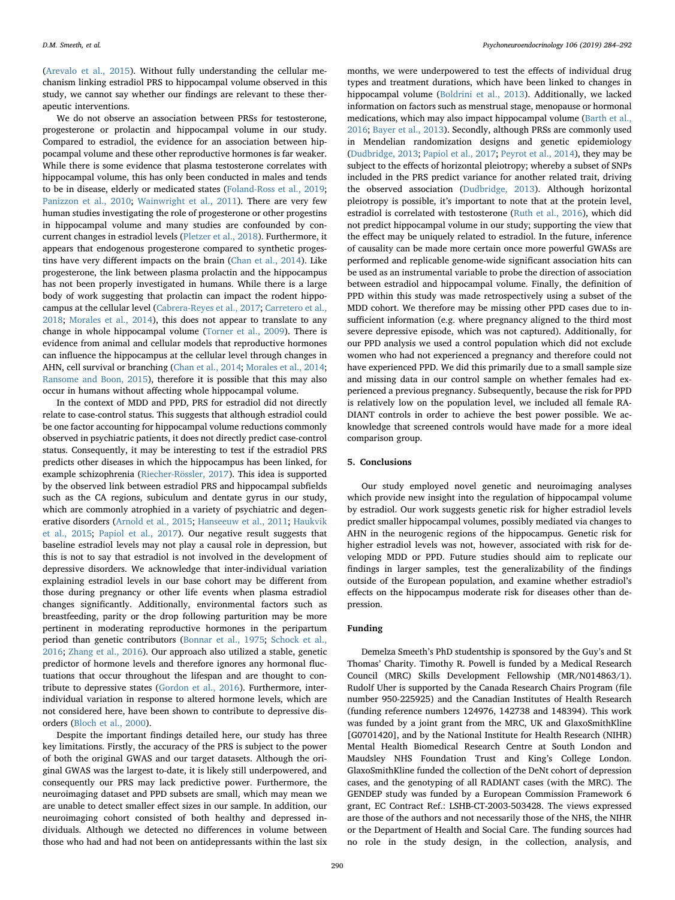([Arevalo et al., 2015\)](#page-7-41). Without fully understanding the cellular mechanism linking estradiol PRS to hippocampal volume observed in this study, we cannot say whether our findings are relevant to these therapeutic interventions.

We do not observe an association between PRSs for testosterone, progesterone or prolactin and hippocampal volume in our study. Compared to estradiol, the evidence for an association between hippocampal volume and these other reproductive hormones is far weaker. While there is some evidence that plasma testosterone correlates with hippocampal volume, this has only been conducted in males and tends to be in disease, elderly or medicated states [\(Foland-Ross et al., 2019](#page-7-42); [Panizzon et al., 2010;](#page-8-27) [Wainwright et al., 2011](#page-8-28)). There are very few human studies investigating the role of progesterone or other progestins in hippocampal volume and many studies are confounded by concurrent changes in estradiol levels ([Pletzer et al., 2018\)](#page-8-29). Furthermore, it appears that endogenous progesterone compared to synthetic progestins have very different impacts on the brain ([Chan et al., 2014\)](#page-7-43). Like progesterone, the link between plasma prolactin and the hippocampus has not been properly investigated in humans. While there is a large body of work suggesting that prolactin can impact the rodent hippocampus at the cellular level [\(Cabrera-Reyes et al., 2017;](#page-7-8) [Carretero et al.,](#page-7-44) [2018;](#page-7-44) [Morales et al., 2014\)](#page-8-30), this does not appear to translate to any change in whole hippocampal volume [\(Torner et al., 2009](#page-8-31)). There is evidence from animal and cellular models that reproductive hormones can influence the hippocampus at the cellular level through changes in AHN, cell survival or branching [\(Chan et al., 2014;](#page-7-43) [Morales et al., 2014](#page-8-30); [Ransome and Boon, 2015\)](#page-8-32), therefore it is possible that this may also occur in humans without affecting whole hippocampal volume.

In the context of MDD and PPD, PRS for estradiol did not directly relate to case-control status. This suggests that although estradiol could be one factor accounting for hippocampal volume reductions commonly observed in psychiatric patients, it does not directly predict case-control status. Consequently, it may be interesting to test if the estradiol PRS predicts other diseases in which the hippocampus has been linked, for example schizophrenia [\(Riecher-Rössler, 2017](#page-8-33)). This idea is supported by the observed link between estradiol PRS and hippocampal subfields such as the CA regions, subiculum and dentate gyrus in our study, which are commonly atrophied in a variety of psychiatric and degenerative disorders [\(Arnold et al., 2015;](#page-7-11) [Hanseeuw et al., 2011](#page-7-45); [Haukvik](#page-7-16) [et al., 2015](#page-7-16); [Papiol et al., 2017](#page-8-34)). Our negative result suggests that baseline estradiol levels may not play a causal role in depression, but this is not to say that estradiol is not involved in the development of depressive disorders. We acknowledge that inter-individual variation explaining estradiol levels in our base cohort may be different from those during pregnancy or other life events when plasma estradiol changes significantly. Additionally, environmental factors such as breastfeeding, parity or the drop following parturition may be more pertinent in moderating reproductive hormones in the peripartum period than genetic contributors ([Bonnar et al., 1975](#page-7-46); [Schock et al.,](#page-8-14) [2016;](#page-8-14) [Zhang et al., 2016\)](#page-8-35). Our approach also utilized a stable, genetic predictor of hormone levels and therefore ignores any hormonal fluctuations that occur throughout the lifespan and are thought to contribute to depressive states [\(Gordon et al., 2016](#page-7-47)). Furthermore, interindividual variation in response to altered hormone levels, which are not considered here, have been shown to contribute to depressive disorders [\(Bloch et al., 2000\)](#page-7-48).

Despite the important findings detailed here, our study has three key limitations. Firstly, the accuracy of the PRS is subject to the power of both the original GWAS and our target datasets. Although the original GWAS was the largest to-date, it is likely still underpowered, and consequently our PRS may lack predictive power. Furthermore, the neuroimaging dataset and PPD subsets are small, which may mean we are unable to detect smaller effect sizes in our sample. In addition, our neuroimaging cohort consisted of both healthy and depressed individuals. Although we detected no differences in volume between those who had and had not been on antidepressants within the last six months, we were underpowered to test the effects of individual drug types and treatment durations, which have been linked to changes in hippocampal volume [\(Boldrini et al., 2013\)](#page-7-49). Additionally, we lacked information on factors such as menstrual stage, menopause or hormonal medications, which may also impact hippocampal volume [\(Barth et al.,](#page-7-2) [2016;](#page-7-2) [Bayer et al., 2013\)](#page-7-6). Secondly, although PRSs are commonly used in Mendelian randomization designs and genetic epidemiology ([Dudbridge, 2013](#page-7-50); [Papiol et al., 2017;](#page-8-34) [Peyrot et al., 2014](#page-8-36)), they may be subject to the effects of horizontal pleiotropy; whereby a subset of SNPs included in the PRS predict variance for another related trait, driving the observed association ([Dudbridge, 2013\)](#page-7-50). Although horizontal pleiotropy is possible, it's important to note that at the protein level, estradiol is correlated with testosterone [\(Ruth et al., 2016](#page-8-16)), which did not predict hippocampal volume in our study; supporting the view that the effect may be uniquely related to estradiol. In the future, inference of causality can be made more certain once more powerful GWASs are performed and replicable genome-wide significant association hits can be used as an instrumental variable to probe the direction of association between estradiol and hippocampal volume. Finally, the definition of PPD within this study was made retrospectively using a subset of the MDD cohort. We therefore may be missing other PPD cases due to insufficient information (e.g. where pregnancy aligned to the third most severe depressive episode, which was not captured). Additionally, for our PPD analysis we used a control population which did not exclude women who had not experienced a pregnancy and therefore could not have experienced PPD. We did this primarily due to a small sample size and missing data in our control sample on whether females had experienced a previous pregnancy. Subsequently, because the risk for PPD is relatively low on the population level, we included all female RA-DIANT controls in order to achieve the best power possible. We acknowledge that screened controls would have made for a more ideal comparison group.

## 5. Conclusions

Our study employed novel genetic and neuroimaging analyses which provide new insight into the regulation of hippocampal volume by estradiol. Our work suggests genetic risk for higher estradiol levels predict smaller hippocampal volumes, possibly mediated via changes to AHN in the neurogenic regions of the hippocampus. Genetic risk for higher estradiol levels was not, however, associated with risk for developing MDD or PPD. Future studies should aim to replicate our findings in larger samples, test the generalizability of the findings outside of the European population, and examine whether estradiol's effects on the hippocampus moderate risk for diseases other than depression.

## Funding

Demelza Smeeth's PhD studentship is sponsored by the Guy's and St Thomas' Charity. Timothy R. Powell is funded by a Medical Research Council (MRC) Skills Development Fellowship (MR/N014863/1). Rudolf Uher is supported by the Canada Research Chairs Program (file number 950-225925) and the Canadian Institutes of Health Research (funding reference numbers 124976, 142738 and 148394). This work was funded by a joint grant from the MRC, UK and GlaxoSmithKline [G0701420], and by the National Institute for Health Research (NIHR) Mental Health Biomedical Research Centre at South London and Maudsley NHS Foundation Trust and King's College London. GlaxoSmithKline funded the collection of the DeNt cohort of depression cases, and the genotyping of all RADIANT cases (with the MRC). The GENDEP study was funded by a European Commission Framework 6 grant, EC Contract Ref.: LSHB-CT-2003-503428. The views expressed are those of the authors and not necessarily those of the NHS, the NIHR or the Department of Health and Social Care. The funding sources had no role in the study design, in the collection, analysis, and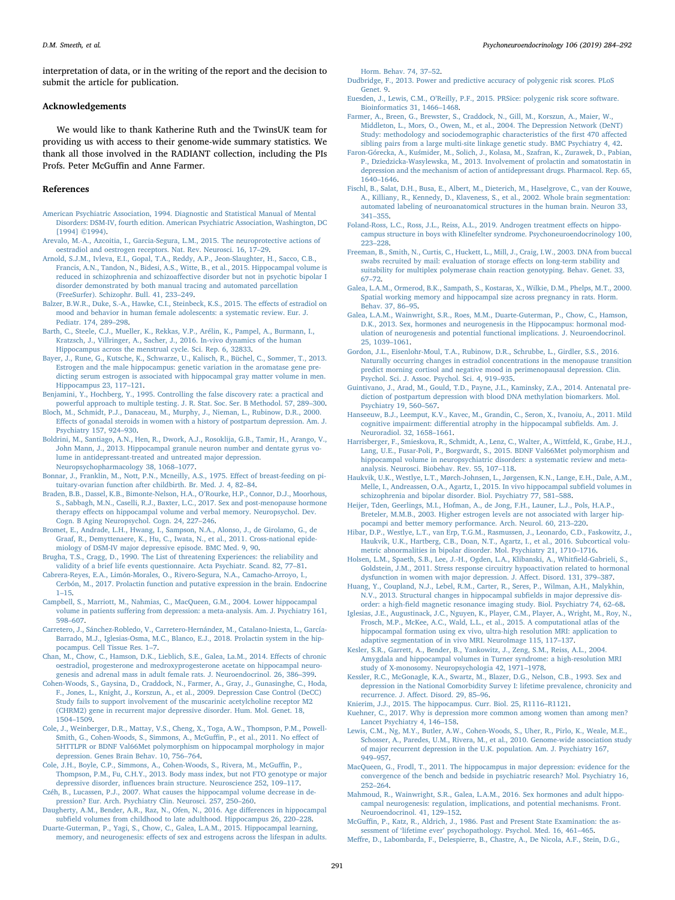interpretation of data, or in the writing of the report and the decision to submit the article for publication.

#### Acknowledgements

We would like to thank Katherine Ruth and the TwinsUK team for providing us with access to their genome-wide summary statistics. We thank all those involved in the RADIANT collection, including the PIs Profs. Peter McGuffin and Anne Farmer.

#### References

- <span id="page-7-27"></span>[American Psychiatric Association, 1994. Diagnostic and Statistical Manual of Mental](http://refhub.elsevier.com/S0306-4530(18)31205-8/sbref0005) [Disorders: DSM-IV, fourth edition. American Psychiatric Association, Washington, DC](http://refhub.elsevier.com/S0306-4530(18)31205-8/sbref0005) [\[1994\] ©1994\).](http://refhub.elsevier.com/S0306-4530(18)31205-8/sbref0005)
- <span id="page-7-41"></span>[Arevalo, M.-A., Azcoitia, I., Garcia-Segura, L.M., 2015. The neuroprotective actions of](http://refhub.elsevier.com/S0306-4530(18)31205-8/sbref0010) [oestradiol and oestrogen receptors. Nat. Rev. Neurosci. 16, 17](http://refhub.elsevier.com/S0306-4530(18)31205-8/sbref0010)–29.
- <span id="page-7-11"></span>[Arnold, S.J.M., Ivleva, E.I., Gopal, T.A., Reddy, A.P., Jeon-Slaughter, H., Sacco, C.B.,](http://refhub.elsevier.com/S0306-4530(18)31205-8/sbref0015) [Francis, A.N., Tandon, N., Bidesi, A.S., Witte, B., et al., 2015. Hippocampal volume is](http://refhub.elsevier.com/S0306-4530(18)31205-8/sbref0015) reduced in schizophrenia and schizoaff[ective disorder but not in psychotic bipolar I](http://refhub.elsevier.com/S0306-4530(18)31205-8/sbref0015) [disorder demonstrated by both manual tracing and automated parcellation](http://refhub.elsevier.com/S0306-4530(18)31205-8/sbref0015) [\(FreeSurfer\). Schizophr. Bull. 41, 233](http://refhub.elsevier.com/S0306-4530(18)31205-8/sbref0015)–249.
- <span id="page-7-17"></span>[Balzer, B.W.R., Duke, S.-A., Hawke, C.I., Steinbeck, K.S., 2015. The e](http://refhub.elsevier.com/S0306-4530(18)31205-8/sbref0020)ffects of estradiol on [mood and behavior in human female adolescents: a systematic review. Eur. J.](http://refhub.elsevier.com/S0306-4530(18)31205-8/sbref0020) [Pediatr. 174, 289](http://refhub.elsevier.com/S0306-4530(18)31205-8/sbref0020)–298.
- <span id="page-7-2"></span>[Barth, C., Steele, C.J., Mueller, K., Rekkas, V.P., Arélin, K., Pampel, A., Burmann, I.,](http://refhub.elsevier.com/S0306-4530(18)31205-8/sbref0025) [Kratzsch, J., Villringer, A., Sacher, J., 2016. In-vivo dynamics of the human](http://refhub.elsevier.com/S0306-4530(18)31205-8/sbref0025) [Hippocampus across the menstrual cycle. Sci. Rep. 6, 32833.](http://refhub.elsevier.com/S0306-4530(18)31205-8/sbref0025)
- <span id="page-7-6"></span>[Bayer, J., Rune, G., Kutsche, K., Schwarze, U., Kalisch, R., Büchel, C., Sommer, T., 2013.](http://refhub.elsevier.com/S0306-4530(18)31205-8/sbref0030) [Estrogen and the male hippocampus: genetic variation in the aromatase gene pre](http://refhub.elsevier.com/S0306-4530(18)31205-8/sbref0030)[dicting serum estrogen is associated with hippocampal gray matter volume in men.](http://refhub.elsevier.com/S0306-4530(18)31205-8/sbref0030) [Hippocampus 23, 117](http://refhub.elsevier.com/S0306-4530(18)31205-8/sbref0030)–121.
- <span id="page-7-36"></span>[Benjamini, Y., Hochberg, Y., 1995. Controlling the false discovery rate: a practical and](http://refhub.elsevier.com/S0306-4530(18)31205-8/sbref0035) [powerful approach to multiple testing. J. R. Stat. Soc. Ser. B Methodol. 57, 289](http://refhub.elsevier.com/S0306-4530(18)31205-8/sbref0035)–300.
- <span id="page-7-48"></span>[Bloch, M., Schmidt, P.J., Danaceau, M., Murphy, J., Nieman, L., Rubinow, D.R., 2000.](http://refhub.elsevier.com/S0306-4530(18)31205-8/sbref0040) Eff[ects of gonadal steroids in women with a history of postpartum depression. Am. J.](http://refhub.elsevier.com/S0306-4530(18)31205-8/sbref0040) [Psychiatry 157, 924](http://refhub.elsevier.com/S0306-4530(18)31205-8/sbref0040)–930.
- <span id="page-7-49"></span>[Boldrini, M., Santiago, A.N., Hen, R., Dwork, A.J., Rosoklija, G.B., Tamir, H., Arango, V.,](http://refhub.elsevier.com/S0306-4530(18)31205-8/sbref0045) [John Mann, J., 2013. Hippocampal granule neuron number and dentate gyrus vo](http://refhub.elsevier.com/S0306-4530(18)31205-8/sbref0045)[lume in antidepressant-treated and untreated major depression.](http://refhub.elsevier.com/S0306-4530(18)31205-8/sbref0045) [Neuropsychopharmacology 38, 1068](http://refhub.elsevier.com/S0306-4530(18)31205-8/sbref0045)–1077.
- <span id="page-7-46"></span>[Bonnar, J., Franklin, M., Nott, P.N., Mcneilly, A.S., 1975. E](http://refhub.elsevier.com/S0306-4530(18)31205-8/sbref0050)ffect of breast-feeding on pi[tuitary-ovarian function after childbirth. Br. Med. J. 4, 82](http://refhub.elsevier.com/S0306-4530(18)31205-8/sbref0050)–84.
- <span id="page-7-7"></span>[Braden, B.B., Dassel, K.B., Bimonte-Nelson, H.A., O](http://refhub.elsevier.com/S0306-4530(18)31205-8/sbref0055)'Rourke, H.P., Connor, D.J., Moorhous, [S., Sabbagh, M.N., Caselli, R.J., Baxter, L.C., 2017. Sex and post-menopause hormone](http://refhub.elsevier.com/S0306-4530(18)31205-8/sbref0055) therapy eff[ects on hippocampal volume and verbal memory. Neuropsychol. Dev.](http://refhub.elsevier.com/S0306-4530(18)31205-8/sbref0055) [Cogn. B Aging Neuropsychol. Cogn. 24, 227](http://refhub.elsevier.com/S0306-4530(18)31205-8/sbref0055)–246.
- <span id="page-7-20"></span>[Bromet, E., Andrade, L.H., Hwang, I., Sampson, N.A., Alonso, J., de Girolamo, G., de](http://refhub.elsevier.com/S0306-4530(18)31205-8/sbref0060) [Graaf, R., Demyttenaere, K., Hu, C., Iwata, N., et al., 2011. Cross-national epide](http://refhub.elsevier.com/S0306-4530(18)31205-8/sbref0060)[miology of DSM-IV major depressive episode. BMC Med. 9, 90](http://refhub.elsevier.com/S0306-4530(18)31205-8/sbref0060).
- <span id="page-7-28"></span>[Brugha, T.S., Cragg, D., 1990. The List of threatening Experiences: the reliability and](http://refhub.elsevier.com/S0306-4530(18)31205-8/sbref0065) [validity of a brief life events questionnaire. Acta Psychiatr. Scand. 82, 77](http://refhub.elsevier.com/S0306-4530(18)31205-8/sbref0065)–81.
- <span id="page-7-8"></span>[Cabrera-Reyes, E.A., Limón-Morales, O., Rivero-Segura, N.A., Camacho-Arroyo, I.,](http://refhub.elsevier.com/S0306-4530(18)31205-8/sbref0070) [Cerbón, M., 2017. Prolactin function and putative expression in the brain. Endocrine](http://refhub.elsevier.com/S0306-4530(18)31205-8/sbref0070) 1–[15](http://refhub.elsevier.com/S0306-4530(18)31205-8/sbref0070).
- <span id="page-7-13"></span>[Campbell, S., Marriott, M., Nahmias, C., MacQueen, G.M., 2004. Lower hippocampal](http://refhub.elsevier.com/S0306-4530(18)31205-8/sbref0075) volume in patients suff[ering from depression: a meta-analysis. Am. J. Psychiatry 161,](http://refhub.elsevier.com/S0306-4530(18)31205-8/sbref0075) 598–[607](http://refhub.elsevier.com/S0306-4530(18)31205-8/sbref0075).
- <span id="page-7-44"></span>[Carretero, J., Sánchez-Robledo, V., Carretero-Hernández, M., Catalano-Iniesta, L., García-](http://refhub.elsevier.com/S0306-4530(18)31205-8/sbref0080)[Barrado, M.J., Iglesias-Osma, M.C., Blanco, E.J., 2018. Prolactin system in the hip](http://refhub.elsevier.com/S0306-4530(18)31205-8/sbref0080)[pocampus. Cell Tissue Res. 1](http://refhub.elsevier.com/S0306-4530(18)31205-8/sbref0080)–7.
- <span id="page-7-43"></span>Chan, [M., Chow, C., Hamson, D.K., Lieblich, S.E., Galea, La.M., 2014. E](http://refhub.elsevier.com/S0306-4530(18)31205-8/sbref0085)ffects of chronic [oestradiol, progesterone and medroxyprogesterone acetate on hippocampal neuro](http://refhub.elsevier.com/S0306-4530(18)31205-8/sbref0085)[genesis and adrenal mass in adult female rats. J. Neuroendocrinol. 26, 386](http://refhub.elsevier.com/S0306-4530(18)31205-8/sbref0085)–399.
- <span id="page-7-26"></span>[Cohen-Woods, S., Gaysina, D., Craddock, N., Farmer, A., Gray, J., Gunasinghe, C., Hoda,](http://refhub.elsevier.com/S0306-4530(18)31205-8/sbref0090) [F., Jones, L., Knight, J., Korszun, A., et al., 2009. Depression Case Control \(DeCC\)](http://refhub.elsevier.com/S0306-4530(18)31205-8/sbref0090) [Study fails to support involvement of the muscarinic acetylcholine receptor M2](http://refhub.elsevier.com/S0306-4530(18)31205-8/sbref0090) [\(CHRM2\) gene in recurrent major depressive disorder. Hum. Mol. Genet. 18,](http://refhub.elsevier.com/S0306-4530(18)31205-8/sbref0090) [1504](http://refhub.elsevier.com/S0306-4530(18)31205-8/sbref0090)–1509.
- <span id="page-7-31"></span>[Cole, J., Weinberger, D.R., Mattay, V.S., Cheng, X., Toga, A.W., Thompson, P.M., Powell-](http://refhub.elsevier.com/S0306-4530(18)31205-8/sbref0095)[Smith, G., Cohen-Woods, S., Simmons, A., McGu](http://refhub.elsevier.com/S0306-4530(18)31205-8/sbref0095)ffin, P., et al., 2011. No effect of [5HTTLPR or BDNF Val66Met polymorphism on hippocampal morphology in major](http://refhub.elsevier.com/S0306-4530(18)31205-8/sbref0095) [depression. Genes Brain Behav. 10, 756](http://refhub.elsevier.com/S0306-4530(18)31205-8/sbref0095)–764.
- <span id="page-7-32"></span>[Cole, J.H., Boyle, C.P., Simmons, A., Cohen-Woods, S., Rivera, M., McGu](http://refhub.elsevier.com/S0306-4530(18)31205-8/sbref0100)ffin, P., [Thompson, P.M., Fu, C.H.Y., 2013. Body mass index, but not FTO genotype or major](http://refhub.elsevier.com/S0306-4530(18)31205-8/sbref0100) depressive disorder, infl[uences brain structure. Neuroscience 252, 109](http://refhub.elsevier.com/S0306-4530(18)31205-8/sbref0100)–117.
- <span id="page-7-4"></span>[Czéh, B., Lucassen, P.J., 2007. What causes the hippocampal volume decrease in de](http://refhub.elsevier.com/S0306-4530(18)31205-8/sbref0105)[pression? Eur. Arch. Psychiatry Clin. Neurosci. 257, 250](http://refhub.elsevier.com/S0306-4530(18)31205-8/sbref0105)–260.
- <span id="page-7-0"></span>[Daugherty, A.M., Bender, A.R., Raz, N., Ofen, N., 2016. Age di](http://refhub.elsevier.com/S0306-4530(18)31205-8/sbref0110)fferences in hippocampal subfi[eld volumes from childhood to late adulthood. Hippocampus 26, 220](http://refhub.elsevier.com/S0306-4530(18)31205-8/sbref0110)–228. [Duarte-Guterman, P., Yagi, S., Chow, C., Galea, L.A.M., 2015. Hippocampal learning,](http://refhub.elsevier.com/S0306-4530(18)31205-8/sbref0115)
- <span id="page-7-37"></span>memory, and neurogenesis: eff[ects of sex and estrogens across the lifespan in adults.](http://refhub.elsevier.com/S0306-4530(18)31205-8/sbref0115)

[Horm. Behav. 74, 37](http://refhub.elsevier.com/S0306-4530(18)31205-8/sbref0115)–52.

- <span id="page-7-50"></span>[Dudbridge, F., 2013. Power and predictive accuracy of polygenic risk scores. PLoS](http://refhub.elsevier.com/S0306-4530(18)31205-8/sbref0120) [Genet. 9.](http://refhub.elsevier.com/S0306-4530(18)31205-8/sbref0120)
- <span id="page-7-35"></span>Euesden, J., Lewis, C.M., O'[Reilly, P.F., 2015. PRSice: polygenic risk score software.](http://refhub.elsevier.com/S0306-4530(18)31205-8/sbref0125) [Bioinformatics 31, 1466](http://refhub.elsevier.com/S0306-4530(18)31205-8/sbref0125)–1468.
- <span id="page-7-25"></span>[Farmer, A., Breen, G., Brewster, S., Craddock, N., Gill, M., Korszun, A., Maier, W.,](http://refhub.elsevier.com/S0306-4530(18)31205-8/sbref0130) [Middleton, L., Mors, O., Owen, M., et al., 2004. The Depression Network \(DeNT\)](http://refhub.elsevier.com/S0306-4530(18)31205-8/sbref0130) [Study: methodology and sociodemographic characteristics of the](http://refhub.elsevier.com/S0306-4530(18)31205-8/sbref0130) first 470 affected [sibling pairs from a large multi-site linkage genetic study. BMC Psychiatry 4, 42.](http://refhub.elsevier.com/S0306-4530(18)31205-8/sbref0130)
- <span id="page-7-18"></span>Faron-Górecka, A., Kuś[mider, M., Solich, J., Kolasa, M., Szafran, K., Zurawek, D., Pabian,](http://refhub.elsevier.com/S0306-4530(18)31205-8/sbref0135) [P., Dziedzicka-Wasylewska, M., 2013. Involvement of prolactin and somatostatin in](http://refhub.elsevier.com/S0306-4530(18)31205-8/sbref0135) [depression and the mechanism of action of antidepressant drugs. Pharmacol. Rep. 65,](http://refhub.elsevier.com/S0306-4530(18)31205-8/sbref0135) 1640–[1646](http://refhub.elsevier.com/S0306-4530(18)31205-8/sbref0135).
- <span id="page-7-33"></span>[Fischl, B., Salat, D.H., Busa, E., Albert, M., Dieterich, M., Haselgrove, C., van der Kouwe,](http://refhub.elsevier.com/S0306-4530(18)31205-8/sbref0140) [A., Killiany, R., Kennedy, D., Klaveness, S., et al., 2002. Whole brain segmentation:](http://refhub.elsevier.com/S0306-4530(18)31205-8/sbref0140) [automated labeling of neuroanatomical structures in the human brain. Neuron 33,](http://refhub.elsevier.com/S0306-4530(18)31205-8/sbref0140) 341–[355](http://refhub.elsevier.com/S0306-4530(18)31205-8/sbref0140).
- <span id="page-7-42"></span>[Foland-Ross, L.C., Ross, J.L., Reiss, A.L., 2019. Androgen treatment e](http://refhub.elsevier.com/S0306-4530(18)31205-8/sbref0145)ffects on hippo[campus structure in boys with Klinefelter syndrome. Psychoneuroendocrinology 100,](http://refhub.elsevier.com/S0306-4530(18)31205-8/sbref0145) 223–[228](http://refhub.elsevier.com/S0306-4530(18)31205-8/sbref0145).
- <span id="page-7-30"></span>[Freeman, B., Smith, N., Curtis, C., Huckett, L., Mill, J., Craig, I.W., 2003. DNA from buccal](http://refhub.elsevier.com/S0306-4530(18)31205-8/sbref0150) swabs [recruited by mail: evaluation of storage e](http://refhub.elsevier.com/S0306-4530(18)31205-8/sbref0150)ffects on long-term stability and [suitability for multiplex polymerase chain reaction genotyping. Behav. Genet. 33,](http://refhub.elsevier.com/S0306-4530(18)31205-8/sbref0150) 67–[72](http://refhub.elsevier.com/S0306-4530(18)31205-8/sbref0150).
- <span id="page-7-23"></span>[Galea, L.A.M., Ormerod, B.K., Sampath, S., Kostaras, X., Wilkie, D.M., Phelps, M.T., 2000.](http://refhub.elsevier.com/S0306-4530(18)31205-8/sbref0155) [Spatial working memory and hippocampal size across pregnancy in rats. Horm.](http://refhub.elsevier.com/S0306-4530(18)31205-8/sbref0155) [Behav. 37, 86](http://refhub.elsevier.com/S0306-4530(18)31205-8/sbref0155)–95.
- <span id="page-7-5"></span>[Galea, L.A.M., Wainwright, S.R., Roes, M.M., Duarte](http://refhub.elsevier.com/S0306-4530(18)31205-8/sbref0160)‐Guterman, P., Chow, C., Hamson, [D.K., 2013. Sex, hormones and neurogenesis in the Hippocampus: hormonal mod](http://refhub.elsevier.com/S0306-4530(18)31205-8/sbref0160)[ulation of neurogenesis and potential functional implications. J. Neuroendocrinol.](http://refhub.elsevier.com/S0306-4530(18)31205-8/sbref0160) [25, 1039](http://refhub.elsevier.com/S0306-4530(18)31205-8/sbref0160)–1061.
- <span id="page-7-47"></span>[Gordon, J.L., Eisenlohr-Moul, T.A., Rubinow, D.R., Schrubbe, L., Girdler, S.S., 2016.](http://refhub.elsevier.com/S0306-4530(18)31205-8/sbref0165) [Naturally occurring changes in estradiol concentrations in the menopause transition](http://refhub.elsevier.com/S0306-4530(18)31205-8/sbref0165) [predict morning cortisol and negative mood in perimenopausal depression. Clin.](http://refhub.elsevier.com/S0306-4530(18)31205-8/sbref0165) [Psychol. Sci. J. Assoc. Psychol. Sci. 4, 919](http://refhub.elsevier.com/S0306-4530(18)31205-8/sbref0165)–935.
- <span id="page-7-38"></span>[Guintivano, J., Arad, M., Gould, T.D., Payne, J.L., Kaminsky, Z.A., 2014. Antenatal pre](http://refhub.elsevier.com/S0306-4530(18)31205-8/sbref0170)[diction of postpartum depression with blood DNA methylation biomarkers. Mol.](http://refhub.elsevier.com/S0306-4530(18)31205-8/sbref0170) [Psychiatry 19, 560](http://refhub.elsevier.com/S0306-4530(18)31205-8/sbref0170)–567.
- <span id="page-7-45"></span>[Hanseeuw, B.J., Leemput, K.V., Kavec, M., Grandin, C., Seron, X., Ivanoiu, A., 2011. Mild](http://refhub.elsevier.com/S0306-4530(18)31205-8/sbref0175) cognitive impairment: diff[erential atrophy in the hippocampal sub](http://refhub.elsevier.com/S0306-4530(18)31205-8/sbref0175)fields. Am. J. [Neuroradiol. 32, 1658](http://refhub.elsevier.com/S0306-4530(18)31205-8/sbref0175)–1661.
- <span id="page-7-1"></span>[Harrisberger, F., Smieskova, R., Schmidt, A., Lenz, C., Walter, A., Wittfeld, K., Grabe, H.J.,](http://refhub.elsevier.com/S0306-4530(18)31205-8/sbref0180) [Lang, U.E., Fusar-Poli, P., Borgwardt, S., 2015. BDNF Val66Met polymorphism and](http://refhub.elsevier.com/S0306-4530(18)31205-8/sbref0180) [hippocampal volume in neuropsychiatric disorders: a systematic review and meta](http://refhub.elsevier.com/S0306-4530(18)31205-8/sbref0180)[analysis. Neurosci. Biobehav. Rev. 55, 107](http://refhub.elsevier.com/S0306-4530(18)31205-8/sbref0180)–118.
- <span id="page-7-16"></span>[Haukvik, U.K., Westlye, L.T., Mørch-Johnsen, L., Jørgensen, K.N., Lange, E.H., Dale, A.M.,](http://refhub.elsevier.com/S0306-4530(18)31205-8/sbref0185) [Melle, I., Andreassen, O.A., Agartz, I., 2015. In vivo hippocampal sub](http://refhub.elsevier.com/S0306-4530(18)31205-8/sbref0185)field volumes in [schizophrenia and bipolar disorder. Biol. Psychiatry 77, 581](http://refhub.elsevier.com/S0306-4530(18)31205-8/sbref0185)–588.
- <span id="page-7-39"></span>[Heijer, Tden, Geerlings, M.I., Hofman, A., de Jong, F.H., Launer, L.J., Pols, H.A.P.,](http://refhub.elsevier.com/S0306-4530(18)31205-8/sbref0190) [Breteler, M.M.B., 2003. Higher estrogen levels are not associated with larger hip](http://refhub.elsevier.com/S0306-4530(18)31205-8/sbref0190)[pocampi and better memory performance. Arch. Neurol. 60, 213](http://refhub.elsevier.com/S0306-4530(18)31205-8/sbref0190)–220.
- <span id="page-7-12"></span>[Hibar, D.P., Westlye, L.T., van Erp, T.G.M., Rasmussen, J., Leonardo, C.D., Faskowitz, J.,](http://refhub.elsevier.com/S0306-4530(18)31205-8/sbref0195) [Haukvik, U.K., Hartberg, C.B., Doan, N.T., Agartz, I., et al., 2016. Subcortical volu](http://refhub.elsevier.com/S0306-4530(18)31205-8/sbref0195)[metric abnormalities in bipolar disorder. Mol. Psychiatry 21, 1710](http://refhub.elsevier.com/S0306-4530(18)31205-8/sbref0195)–1716.
- <span id="page-7-19"></span>[Holsen, L.M., Spaeth, S.B., Lee, J.-H., Ogden, L.A., Klibanski, A., Whit](http://refhub.elsevier.com/S0306-4530(18)31205-8/sbref0200)field-Gabrieli, S., [Goldstein, J.M., 2011. Stress response circuitry hypoactivation related to hormonal](http://refhub.elsevier.com/S0306-4530(18)31205-8/sbref0200) [dysfunction in women with major depression. J. A](http://refhub.elsevier.com/S0306-4530(18)31205-8/sbref0200)ffect. Disord. 131, 379–387.
- <span id="page-7-15"></span>[Huang, Y., Coupland, N.J., Lebel, R.M., Carter, R., Seres, P., Wilman, A.H., Malykhin,](http://refhub.elsevier.com/S0306-4530(18)31205-8/sbref0205) [N.V., 2013. Structural changes in hippocampal sub](http://refhub.elsevier.com/S0306-4530(18)31205-8/sbref0205)fields in major depressive disorder: a high-fi[eld magnetic resonance imaging study. Biol. Psychiatry 74, 62](http://refhub.elsevier.com/S0306-4530(18)31205-8/sbref0205)–68.
- <span id="page-7-34"></span>[Iglesias, J.E., Augustinack, J.C., Nguyen, K., Player, C.M., Player, A., Wright, M., Roy, N.,](http://refhub.elsevier.com/S0306-4530(18)31205-8/sbref0210) [Frosch, M.P., McKee, A.C., Wald, L.L., et al., 2015. A computational atlas of the](http://refhub.elsevier.com/S0306-4530(18)31205-8/sbref0210) [hippocampal formation using ex vivo, ultra-high resolution MRI: application to](http://refhub.elsevier.com/S0306-4530(18)31205-8/sbref0210) [adaptive segmentation of in vivo MRI. NeuroImage 115, 117](http://refhub.elsevier.com/S0306-4530(18)31205-8/sbref0210)–137.
- <span id="page-7-40"></span>[Kesler, S.R., Garrett, A., Bender, B., Yankowitz, J., Zeng, S.M., Reiss, A.L., 2004.](http://refhub.elsevier.com/S0306-4530(18)31205-8/sbref0215) [Amygdala and hippocampal volumes in Turner syndrome: a high-resolution MRI](http://refhub.elsevier.com/S0306-4530(18)31205-8/sbref0215) study [of X-monosomy. Neuropsychologia 42, 1971](http://refhub.elsevier.com/S0306-4530(18)31205-8/sbref0215)–1978.
- <span id="page-7-21"></span>[Kessler, R.C., McGonagle, K.A., Swartz, M., Blazer, D.G., Nelson, C.B., 1993. Sex and](http://refhub.elsevier.com/S0306-4530(18)31205-8/sbref0220) [depression in the National Comorbidity Survey I: lifetime prevalence, chronicity and](http://refhub.elsevier.com/S0306-4530(18)31205-8/sbref0220) recurrence. J. Aff[ect. Disord. 29, 85](http://refhub.elsevier.com/S0306-4530(18)31205-8/sbref0220)–96.
- <span id="page-7-3"></span>[Knierim, J.J., 2015. The hippocampus. Curr. Biol. 25, R1116](http://refhub.elsevier.com/S0306-4530(18)31205-8/sbref0225)–R1121.
- <span id="page-7-22"></span>[Kuehner, C., 2017. Why is depression more common among women than among men?](http://refhub.elsevier.com/S0306-4530(18)31205-8/sbref0230) [Lancet Psychiatry 4, 146](http://refhub.elsevier.com/S0306-4530(18)31205-8/sbref0230)–158.
- <span id="page-7-24"></span>[Lewis, C.M., Ng, M.Y., Butler, A.W., Cohen-Woods, S., Uher, R., Pirlo, K., Weale, M.E.,](http://refhub.elsevier.com/S0306-4530(18)31205-8/sbref0235) [Schosser, A., Paredes, U.M., Rivera, M., et al., 2010. Genome-wide association study](http://refhub.elsevier.com/S0306-4530(18)31205-8/sbref0235) [of major recurrent depression in the U.K. population. Am. J. Psychiatry 167,](http://refhub.elsevier.com/S0306-4530(18)31205-8/sbref0235) 949–[957](http://refhub.elsevier.com/S0306-4530(18)31205-8/sbref0235).
- <span id="page-7-14"></span>[MacQueen, G., Frodl, T., 2011. The hippocampus in major depression: evidence for the](http://refhub.elsevier.com/S0306-4530(18)31205-8/sbref0240) [convergence of the bench and bedside in psychiatric research? Mol. Psychiatry 16,](http://refhub.elsevier.com/S0306-4530(18)31205-8/sbref0240) 252–[264](http://refhub.elsevier.com/S0306-4530(18)31205-8/sbref0240).
- <span id="page-7-10"></span>[Mahmoud, R., Wainwright, S.R., Galea, L.A.M., 2016. Sex hormones and adult hippo](http://refhub.elsevier.com/S0306-4530(18)31205-8/sbref0245)[campal neurogenesis: regulation, implications, and potential mechanisms. Front.](http://refhub.elsevier.com/S0306-4530(18)31205-8/sbref0245) [Neuroendocrinol. 41, 129](http://refhub.elsevier.com/S0306-4530(18)31205-8/sbref0245)–152.
- <span id="page-7-29"></span>McGuffi[n, P., Katz, R., Aldrich, J., 1986. Past and Present State Examination: the as](http://refhub.elsevier.com/S0306-4530(18)31205-8/sbref0250)sessment of 'lifetime ever' [psychopathology. Psychol. Med. 16, 461](http://refhub.elsevier.com/S0306-4530(18)31205-8/sbref0250)–465.
- <span id="page-7-9"></span>Meff[re, D., Labombarda, F., Delespierre, B., Chastre, A., De Nicola, A.F., Stein, D.G.,](http://refhub.elsevier.com/S0306-4530(18)31205-8/sbref0255)